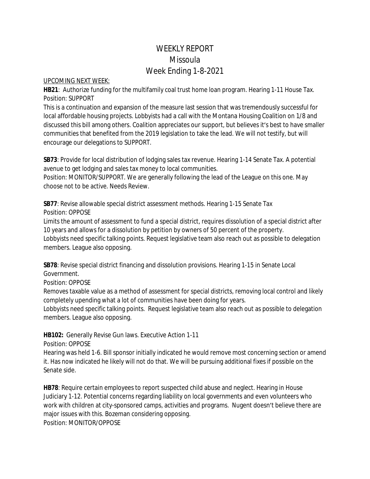## WEEKLY REPORT Missoula Week Ending 1-8-2021

## UPCOMING NEXT WEEK:

**HB21**: Authorize funding for the multifamily coal trust home loan program. Hearing 1-11 House Tax. Position: SUPPORT

This is a continuation and expansion of the measure last session that was tremendously successful for local affordable housing projects. Lobbyists had a call with the Montana Housing Coalition on 1/8 and discussed this bill among others. Coalition appreciates our support, but believes it's best to have smaller communities that benefited from the 2019 legislation to take the lead. We will not testify, but will encourage our delegations to SUPPORT.

**SB73**: Provide for local distribution of lodging sales tax revenue. Hearing 1-14 Senate Tax. A potential avenue to get lodging and sales tax money to local communities.

Position: MONITOR/SUPPORT. We are generally following the lead of the League on this one. May choose not to be active. Needs Review.

**SB77**: Revise allowable special district assessment methods. Hearing 1-15 Senate Tax Position: OPPOSE

Limits the amount of assessment to fund a special district, requires dissolution of a special district after 10 years and allows for a dissolution by petition by owners of 50 percent of the property. Lobbyists need specific talking points. Request legislative team also reach out as possible to delegation

members. League also opposing.

**SB78**: Revise special district financing and dissolution provisions. Hearing 1-15 in Senate Local Government.

Position: OPPOSE

Removes taxable value as a method of assessment for special districts, removing local control and likely completely upending what a lot of communities have been doing for years.

Lobbyists need specific talking points. Request legislative team also reach out as possible to delegation members. League also opposing.

**HB102:** Generally Revise Gun laws. Executive Action 1-11

Position: OPPOSE

Hearing was held 1-6. Bill sponsor initially indicated he would remove most concerning section or amend it. Has now indicated he likely will not do that. We will be pursuing additional fixes if possible on the Senate side.

**HB78**: Require certain employees to report suspected child abuse and neglect. Hearing in House Judiciary 1-12. Potential concerns regarding liability on local governments and even volunteers who work with children at city-sponsored camps, activities and programs. Nugent doesn't believe there are major issues with this. Bozeman considering opposing. Position: MONITOR/OPPOSE